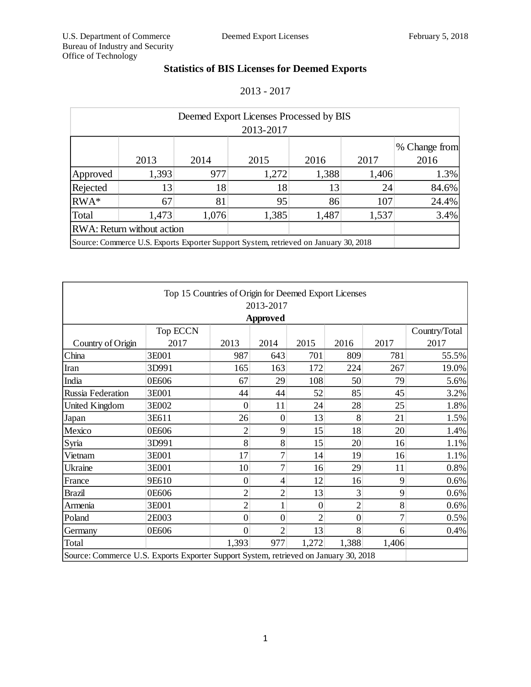## **Statistics of BIS Licenses for Deemed Exports**

2013 - 2017

| Deemed Export Licenses Processed by BIS                                              |       |       |       |       |       |               |  |  |
|--------------------------------------------------------------------------------------|-------|-------|-------|-------|-------|---------------|--|--|
| 2013-2017                                                                            |       |       |       |       |       |               |  |  |
|                                                                                      |       |       |       |       |       | % Change from |  |  |
|                                                                                      | 2013  | 2014  | 2015  | 2016  | 2017  | 2016          |  |  |
| Approved                                                                             | 1,393 | 977   | 1,272 | 1,388 | 1,406 | 1.3%          |  |  |
| Rejected                                                                             | 13    | 18    | 18    | 13    | 24    | 84.6%         |  |  |
| RWA*                                                                                 | 67    | 81    | 95    | 86    | 107   | 24.4%         |  |  |
| Total                                                                                | 1,473 | 1,076 | 1,385 | 1,487 | 1,537 | 3.4%          |  |  |
| <b>RWA:</b> Return without action                                                    |       |       |       |       |       |               |  |  |
| Source: Commerce U.S. Exports Exporter Support System, retrieved on January 30, 2018 |       |       |       |       |       |               |  |  |

| Top 15 Countries of Origin for Deemed Export Licenses                                |                 |                |                |                |                |                |               |  |
|--------------------------------------------------------------------------------------|-----------------|----------------|----------------|----------------|----------------|----------------|---------------|--|
| 2013-2017                                                                            |                 |                |                |                |                |                |               |  |
| <b>Approved</b>                                                                      |                 |                |                |                |                |                |               |  |
|                                                                                      | <b>Top ECCN</b> |                |                |                |                |                | Country/Total |  |
| Country of Origin                                                                    | 2017            | 2013           | 2014           | 2015           | 2016           | 2017           | 2017          |  |
| China                                                                                | 3E001           | 987            | 643            | 701            | 809            | 781            | 55.5%         |  |
| Iran                                                                                 | 3D991           | 165            | 163            | 172            | 224            | 267            | 19.0%         |  |
| India                                                                                | 0E606           | 67             | 29             | 108            | 50             | 79             | 5.6%          |  |
| Russia Federation                                                                    | 3E001           | 44             | 44             | 52             | 85             | 45             | 3.2%          |  |
| United Kingdom                                                                       | 3E002           | $\overline{0}$ | 11             | 24             | 28             | 25             | 1.8%          |  |
| Japan                                                                                | 3E611           | 26             | $\overline{0}$ | 13             | 8              | 21             | 1.5%          |  |
| Mexico                                                                               | 0E606           | $\overline{c}$ | 9              | 15             | 18             | 20             | 1.4%          |  |
| Syria                                                                                | 3D991           | 8              | 8              | 15             | 20             | 16             | 1.1%          |  |
| Vietnam                                                                              | 3E001           | 17             | $\overline{7}$ | 14             | 19             | 16             | 1.1%          |  |
| Ukraine                                                                              | 3E001           | 10             | $\overline{7}$ | 16             | 29             | 11             | 0.8%          |  |
| France                                                                               | 9E610           | $\overline{0}$ | 4              | 12             | 16             | 9              | 0.6%          |  |
| <b>Brazil</b>                                                                        | 0E606           | $\overline{2}$ | $\overline{c}$ | 13             | 3              | 9              | 0.6%          |  |
| Armenia                                                                              | 3E001           | $\overline{2}$ | 1              | $\overline{0}$ | $\overline{2}$ | 8              | 0.6%          |  |
| Poland                                                                               | 2E003           | $\overline{0}$ | $\overline{0}$ | $\overline{2}$ | $\overline{0}$ | $\overline{7}$ | 0.5%          |  |
| Germany                                                                              | 0E606           | $\overline{0}$ | $\overline{2}$ | 13             | 8              | 6              | 0.4%          |  |
| Total                                                                                |                 | 1,393          | 977            | 1,272          | 1,388          | 1,406          |               |  |
| Source: Commerce U.S. Exports Exporter Support System, retrieved on January 30, 2018 |                 |                |                |                |                |                |               |  |